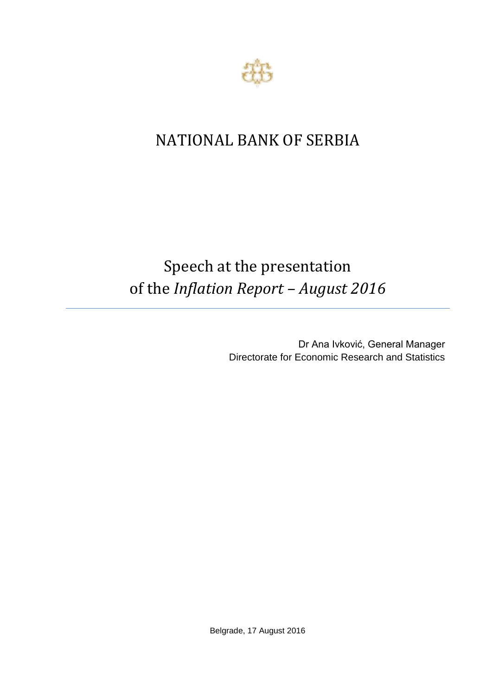

## NATIONAL BANK OF SERBIA

## Speech at the presentation of the *Inflation Report – August 2016*

Dr Ana Ivković, General Manager Directorate for Economic Research and Statistics

Belgrade, 17 August 2016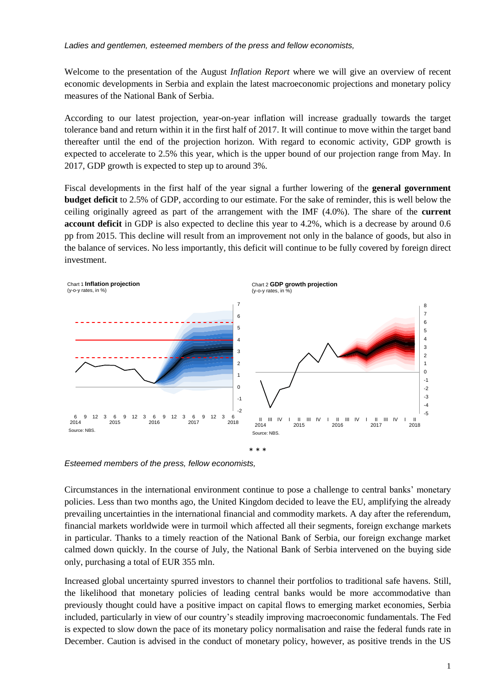*Ladies and gentlemen, esteemed members of the press and fellow economists,*

Welcome to the presentation of the August *Inflation Report* where we will give an overview of recent economic developments in Serbia and explain the latest macroeconomic projections and monetary policy measures of the National Bank of Serbia.

According to our latest projection, year-on-year inflation will increase gradually towards the target tolerance band and return within it in the first half of 2017. It will continue to move within the target band thereafter until the end of the projection horizon. With regard to economic activity, GDP growth is expected to accelerate to 2.5% this year, which is the upper bound of our projection range from May. In 2017, GDP growth is expected to step up to around 3%.

Fiscal developments in the first half of the year signal a further lowering of the **general government budget deficit** to 2.5% of GDP, according to our estimate. For the sake of reminder, this is well below the ceiling originally agreed as part of the arrangement with the IMF (4.0%). The share of the **current account deficit** in GDP is also expected to decline this year to 4.2%, which is a decrease by around 0.6 pp from 2015. This decline will result from an improvement not only in the balance of goods, but also in the balance of services. No less importantly, this deficit will continue to be fully covered by foreign direct investment.



*Esteemed members of the press, fellow economists,*

Circumstances in the international environment continue to pose a challenge to central banks' monetary policies. Less than two months ago, the United Kingdom decided to leave the EU, amplifying the already prevailing uncertainties in the international financial and commodity markets. A day after the referendum, financial markets worldwide were in turmoil which affected all their segments, foreign exchange markets in particular. Thanks to a timely reaction of the National Bank of Serbia, our foreign exchange market calmed down quickly. In the course of July, the National Bank of Serbia intervened on the buying side only, purchasing a total of EUR 355 mln.

Increased global uncertainty spurred investors to channel their portfolios to traditional safe havens. Still, the likelihood that monetary policies of leading central banks would be more accommodative than previously thought could have a positive impact on capital flows to emerging market economies, Serbia included, particularly in view of our country's steadily improving macroeconomic fundamentals. The Fed is expected to slow down the pace of its monetary policy normalisation and raise the federal funds rate in December. Caution is advised in the conduct of monetary policy, however, as positive trends in the US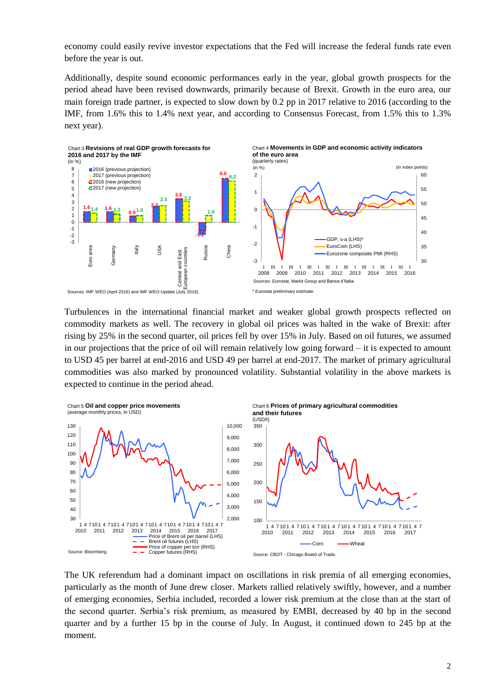economy could easily revive investor expectations that the Fed will increase the federal funds rate even before the year is out.

Additionally, despite sound economic performances early in the year, global growth prospects for the period ahead have been revised downwards, primarily because of Brexit. Growth in the euro area, our main foreign trade partner, is expected to slow down by 0.2 pp in 2017 relative to 2016 (according to the IMF, from 1.6% this to 1.4% next year, and according to Consensus Forecast*,* from 1.5% this to 1.3% next year).



Turbulences in the international financial market and weaker global growth prospects reflected on commodity markets as well. The recovery in global oil prices was halted in the wake of Brexit: after rising by 25% in the second quarter, oil prices fell by over 15% in July. Based on oil futures, we assumed in our projections that the price of oil will remain relatively low going forward – it is expected to amount to USD 45 per barrel at end-2016 and USD 49 per barrel at end-2017. The market of primary agricultural commodities was also marked by pronounced volatility. Substantial volatility in the above markets is expected to continue in the period ahead.



The UK referendum had a dominant impact on oscillations in risk premia of all emerging economies, particularly as the month of June drew closer. Markets rallied relatively swiftly, however, and a number of emerging economies, Serbia included, recorded a lower risk premium at the close than at the start of the second quarter. Serbia's risk premium, as measured by EMBI, decreased by 40 bp in the second quarter and by a further 15 bp in the course of July. In August, it continued down to 245 bp at the moment.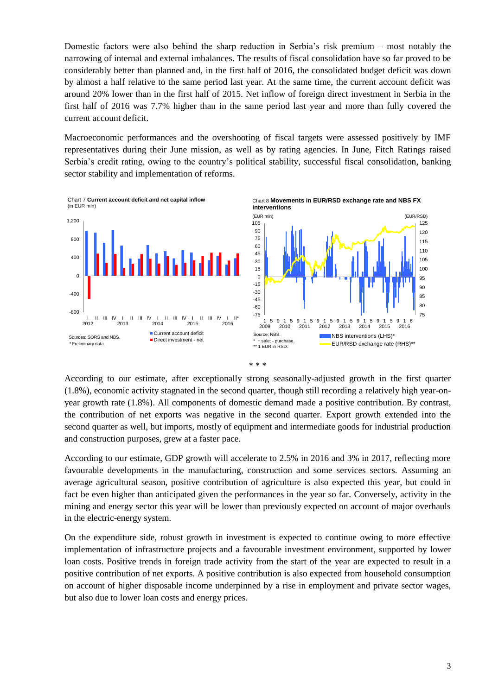Domestic factors were also behind the sharp reduction in Serbia's risk premium – most notably the narrowing of internal and external imbalances. The results of fiscal consolidation have so far proved to be considerably better than planned and, in the first half of 2016, the consolidated budget deficit was down by almost a half relative to the same period last year. At the same time, the current account deficit was around 20% lower than in the first half of 2015. Net inflow of foreign direct investment in Serbia in the first half of 2016 was 7.7% higher than in the same period last year and more than fully covered the current account deficit.

Macroeconomic performances and the overshooting of fiscal targets were assessed positively by IMF representatives during their June mission, as well as by rating agencies. In June, Fitch Ratings raised Serbia's credit rating, owing to the country's political stability, successful fiscal consolidation, banking sector stability and implementation of reforms.







According to our estimate, after exceptionally strong seasonally-adjusted growth in the first quarter (1.8%), economic activity stagnated in the second quarter, though still recording a relatively high year-onyear growth rate (1.8%). All components of domestic demand made a positive contribution. By contrast, the contribution of net exports was negative in the second quarter. Export growth extended into the second quarter as well, but imports, mostly of equipment and intermediate goods for industrial production and construction purposes, grew at a faster pace.

According to our estimate, GDP growth will accelerate to 2.5% in 2016 and 3% in 2017, reflecting more favourable developments in the manufacturing, construction and some services sectors. Assuming an average agricultural season, positive contribution of agriculture is also expected this year, but could in fact be even higher than anticipated given the performances in the year so far. Conversely, activity in the mining and energy sector this year will be lower than previously expected on account of major overhauls in the electric-energy system.

On the expenditure side, robust growth in investment is expected to continue owing to more effective implementation of infrastructure projects and a favourable investment environment, supported by lower loan costs. Positive trends in foreign trade activity from the start of the year are expected to result in a positive contribution of net exports. A positive contribution is also expected from household consumption on account of higher disposable income underpinned by a rise in employment and private sector wages, but also due to lower loan costs and energy prices.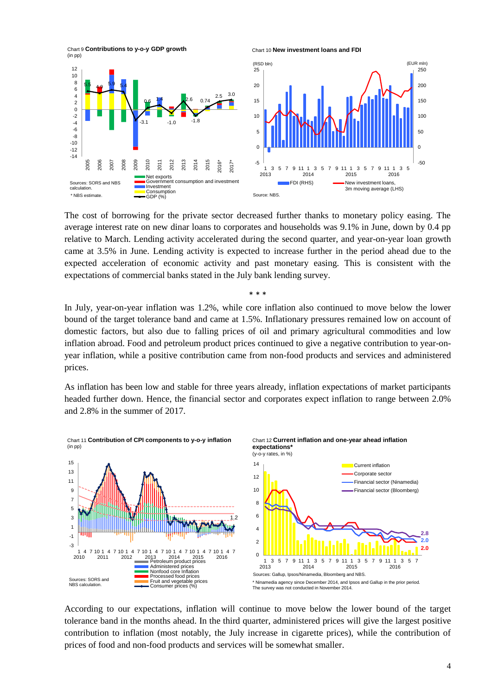

The cost of borrowing for the private sector decreased further thanks to monetary policy easing. The average interest rate on new dinar loans to corporates and households was 9.1% in June, down by 0.4 pp relative to March. Lending activity accelerated during the second quarter, and year-on-year loan growth came at 3.5% in June. Lending activity is expected to increase further in the period ahead due to the expected acceleration of economic activity and past monetary easing. This is consistent with the expectations of commercial banks stated in the July bank lending survey.

\* \* \*

In July, year-on-year inflation was 1.2%, while core inflation also continued to move below the lower bound of the target tolerance band and came at 1.5%. Inflationary pressures remained low on account of domestic factors, but also due to falling prices of oil and primary agricultural commodities and low inflation abroad. Food and petroleum product prices continued to give a negative contribution to year-onyear inflation, while a positive contribution came from non-food products and services and administered prices.

As inflation has been low and stable for three years already, inflation expectations of market participants headed further down. Hence, the financial sector and corporates expect inflation to range between 2.0% and 2.8% in the summer of 2017.



According to our expectations, inflation will continue to move below the lower bound of the target tolerance band in the months ahead. In the third quarter, administered prices will give the largest positive contribution to inflation (most notably, the July increase in cigarette prices), while the contribution of prices of food and non-food products and services will be somewhat smaller.